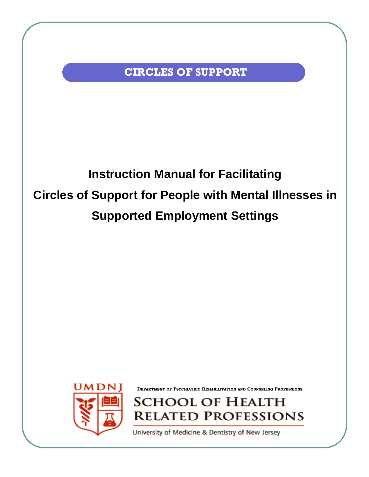**CIRCLES OF SUPPORT** 

## **Instruction Manual for Facilitating Circles of Support for People with Mental Illnesses in Supported Employment Settings**



**DEPARTMENT OF PSYCHIATRIC REHABILITATION AND COUNSELING PROFESSIONS**

SCHOOL OF HEALTH **RELATED PROFESSIONS** 

University of Medicine & Dentistry of New Jersey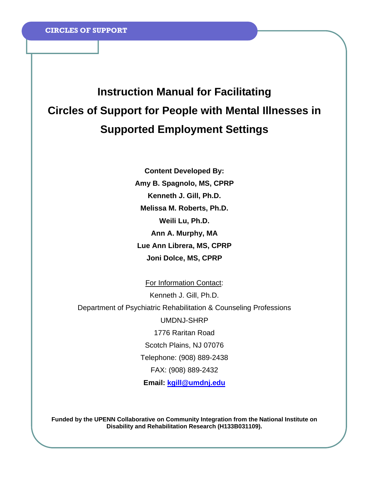## **Instruction Manual for Facilitating Circles of Support for People with Mental Illnesses in Supported Employment Settings**

**Content Developed By: Amy B. Spagnolo, MS, CPRP Kenneth J. Gill, Ph.D. Melissa M. Roberts, Ph.D. Weili Lu, Ph.D. Ann A. Murphy, MA Lue Ann Librera, MS, CPRP Joni Dolce, MS, CPRP** 

For Information Contact: Kenneth J. Gill, Ph.D. Department of Psychiatric Rehabilitation & Counseling Professions UMDNJ-SHRP 1776 Raritan Road Scotch Plains, NJ 07076 Telephone: (908) 889-2438 FAX: (908) 889-2432 **Email: kgill@umdnj.edu**

**Funded by the UPENN Collaborative on Community Integration from the National Institute on Disability and Rehabilitation Research (H133B031109).**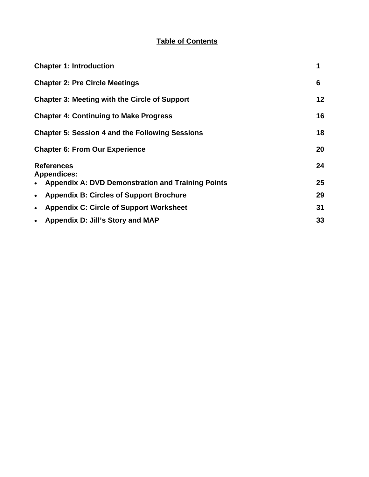## **Table of Contents**

| <b>Chapter 1: Introduction</b>                              | 1       |
|-------------------------------------------------------------|---------|
| <b>Chapter 2: Pre Circle Meetings</b>                       | 6       |
| <b>Chapter 3: Meeting with the Circle of Support</b>        | $12 \,$ |
| <b>Chapter 4: Continuing to Make Progress</b>               | 16      |
| <b>Chapter 5: Session 4 and the Following Sessions</b>      | 18      |
| <b>Chapter 6: From Our Experience</b>                       | 20      |
| <b>References</b><br><b>Appendices:</b>                     | 24      |
| <b>Appendix A: DVD Demonstration and Training Points</b>    | 25      |
| <b>Appendix B: Circles of Support Brochure</b><br>$\bullet$ | 29      |
| <b>Appendix C: Circle of Support Worksheet</b><br>$\bullet$ | 31      |
| Appendix D: Jill's Story and MAP<br>$\bullet$               | 33      |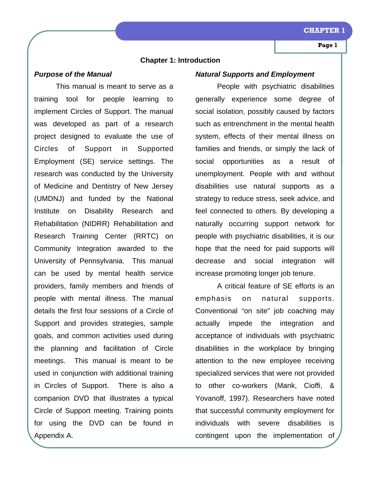## **Chapter 1: Introduction**

## *Purpose of the Manual*

 This manual is meant to serve as a training tool for people learning to implement Circles of Support. The manual was developed as part of a research project designed to evaluate the use of Circles of Support in Supported Employment (SE) service settings. The research was conducted by the University of Medicine and Dentistry of New Jersey (UMDNJ) and funded by the National Institute on Disability Research and Rehabilitation (NIDRR) Rehabilitation and Research Training Center (RRTC) on Community Integration awarded to the University of Pennsylvania. This manual can be used by mental health service providers, family members and friends of people with mental illness. The manual details the first four sessions of a Circle of Support and provides strategies, sample goals, and common activities used during the planning and facilitation of Circle meetings. This manual is meant to be used in conjunction with additional training in Circles of Support. There is also a companion DVD that illustrates a typical Circle of Support meeting. Training points for using the DVD can be found in Appendix A.

## *Natural Supports and Employment*

 People with psychiatric disabilities generally experience some degree of social isolation, possibly caused by factors such as entrenchment in the mental health system, effects of their mental illness on families and friends, or simply the lack of social opportunities as a result of unemployment. People with and without disabilities use natural supports as a strategy to reduce stress, seek advice, and feel connected to others. By developing a naturally occurring support network for people with psychiatric disabilities, it is our hope that the need for paid supports will decrease and social integration will increase promoting longer job tenure.

 A critical feature of SE efforts is an emphasis on natural supports. Conventional "on site" job coaching may actually impede the integration and acceptance of individuals with psychiatric disabilities in the workplace by bringing attention to the new employee receiving specialized services that were not provided to other co-workers (Mank, Cioffi, & Yovanoff, 1997). Researchers have noted that successful community employment for individuals with severe disabilities is contingent upon the implementation of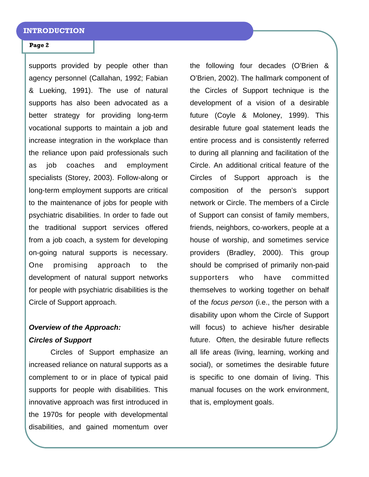supports provided by people other than agency personnel (Callahan, 1992; Fabian & Lueking, 1991). The use of natural supports has also been advocated as a better strategy for providing long-term vocational supports to maintain a job and increase integration in the workplace than the reliance upon paid professionals such as job coaches and employment specialists (Storey, 2003). Follow-along or long-term employment supports are critical to the maintenance of jobs for people with psychiatric disabilities. In order to fade out the traditional support services offered from a job coach, a system for developing on-going natural supports is necessary. One promising approach to the development of natural support networks for people with psychiatric disabilities is the Circle of Support approach.

## *Overview of the Approach: Circles of Support*

 Circles of Support emphasize an increased reliance on natural supports as a complement to or in place of typical paid supports for people with disabilities. This innovative approach was first introduced in the 1970s for people with developmental disabilities, and gained momentum over

the following four decades (O'Brien & O'Brien, 2002). The hallmark component of the Circles of Support technique is the development of a vision of a desirable future (Coyle & Moloney, 1999). This desirable future goal statement leads the entire process and is consistently referred to during all planning and facilitation of the Circle. An additional critical feature of the Circles of Support approach is the composition of the person's support network or Circle. The members of a Circle of Support can consist of family members, friends, neighbors, co-workers, people at a house of worship, and sometimes service providers (Bradley, 2000). This group should be comprised of primarily non-paid supporters who have committed themselves to working together on behalf of the *focus person* (i.e., the person with a disability upon whom the Circle of Support will focus) to achieve his/her desirable future. Often, the desirable future reflects all life areas (living, learning, working and social), or sometimes the desirable future is specific to one domain of living. This manual focuses on the work environment, that is, employment goals.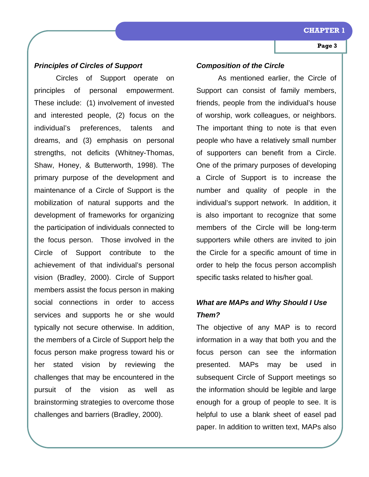### **CHAPTER**

## **Page 3**

## *Principles of Circles of Support*

 Circles of Support operate on principles of personal empowerment. These include: (1) involvement of invested and interested people, (2) focus on the individual's preferences, talents and dreams, and (3) emphasis on personal strengths, not deficits (Whitney-Thomas, Shaw, Honey, & Butterworth, 1998). The primary purpose of the development and maintenance of a Circle of Support is the mobilization of natural supports and the development of frameworks for organizing the participation of individuals connected to the focus person. Those involved in the Circle of Support contribute to the achievement of that individual's personal vision (Bradley, 2000). Circle of Support members assist the focus person in making social connections in order to access services and supports he or she would typically not secure otherwise. In addition, the members of a Circle of Support help the focus person make progress toward his or her stated vision by reviewing the challenges that may be encountered in the pursuit of the vision as well as brainstorming strategies to overcome those challenges and barriers (Bradley, 2000).

## *Composition of the Circle*

 As mentioned earlier, the Circle of Support can consist of family members, friends, people from the individual's house of worship, work colleagues, or neighbors. The important thing to note is that even people who have a relatively small number of supporters can benefit from a Circle. One of the primary purposes of developing a Circle of Support is to increase the number and quality of people in the individual's support network. In addition, it is also important to recognize that some members of the Circle will be long-term supporters while others are invited to join the Circle for a specific amount of time in order to help the focus person accomplish specific tasks related to his/her goal.

## *What are MAPs and Why Should I Use Them?*

The objective of any MAP is to record information in a way that both you and the focus person can see the information presented. MAPs may be used in subsequent Circle of Support meetings so the information should be legible and large enough for a group of people to see. It is helpful to use a blank sheet of easel pad paper. In addition to written text, MAPs also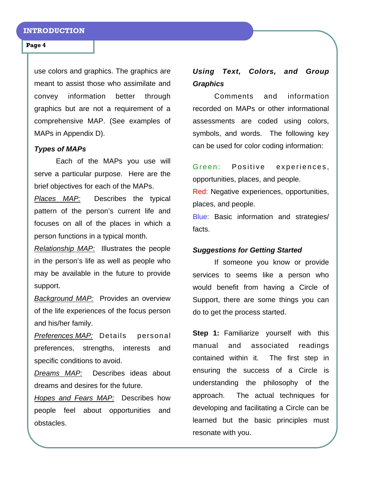use colors and graphics. The graphics are meant to assist those who assimilate and convey information better through graphics but are not a requirement of a comprehensive MAP. (See examples of MAPs in Appendix D).

## *Types of MAPs*

 Each of the MAPs you use will serve a particular purpose. Here are the brief objectives for each of the MAPs.

*Places MAP:* Describes the typical pattern of the person's current life and focuses on all of the places in which a person functions in a typical month.

*Relationship MAP:* Illustrates the people in the person's life as well as people who may be available in the future to provide support.

*Background MAP:* Provides an overview of the life experiences of the focus person and his/her family.

*Preferences MAP:* Details personal preferences, strengths, interests and specific conditions to avoid.

*Dreams MAP:* Describes ideas about dreams and desires for the future.

*Hopes and Fears MAP:* Describes how people feel about opportunities and obstacles.

## *Using Text, Colors, and Group Graphics*

 Comments and information recorded on MAPs or other informational assessments are coded using colors, symbols, and words. The following key can be used for color coding information:

Green: Positive experiences, opportunities, places, and people.

Red: Negative experiences, opportunities, places, and people.

Blue: Basic information and strategies/ facts.

## *Suggestions for Getting Started*

 If someone you know or provide services to seems like a person who would benefit from having a Circle of Support, there are some things you can do to get the process started.

**Step 1:** Familiarize yourself with this manual and associated readings contained within it. The first step in ensuring the success of a Circle is understanding the philosophy of the approach. The actual techniques for developing and facilitating a Circle can be learned but the basic principles must resonate with you.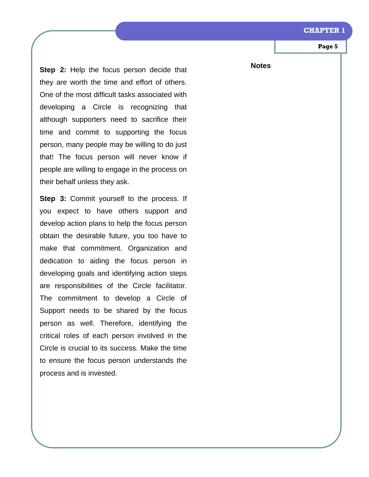#### **CHAPTER 1**

**Page 5** 

**Step 2:** Help the focus person decide that they are worth the time and effort of others. One of the most difficult tasks associated with developing a Circle is recognizing that although supporters need to sacrifice their time and commit to supporting the focus person, many people may be willing to do just that! The focus person will never know if people are willing to engage in the process on their behalf unless they ask.

**Step 3:** Commit yourself to the process. If you expect to have others support and develop action plans to help the focus person obtain the desirable future, you too have to make that commitment. Organization and dedication to aiding the focus person in developing goals and identifying action steps are responsibilities of the Circle facilitator. The commitment to develop a Circle of Support needs to be shared by the focus person as well. Therefore, identifying the critical roles of each person involved in the Circle is crucial to its success. Make the time to ensure the focus person understands the process and is invested.

**Notes**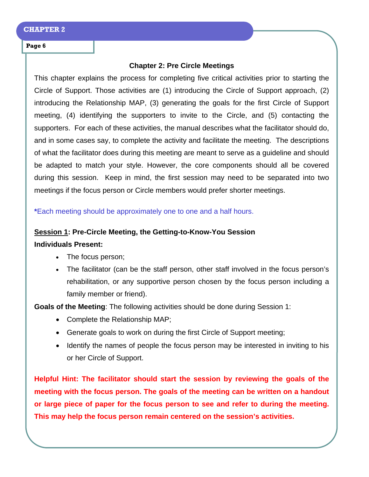## **Chapter 2: Pre Circle Meetings**

This chapter explains the process for completing five critical activities prior to starting the Circle of Support. Those activities are (1) introducing the Circle of Support approach, (2) introducing the Relationship MAP, (3) generating the goals for the first Circle of Support meeting, (4) identifying the supporters to invite to the Circle, and (5) contacting the supporters. For each of these activities, the manual describes what the facilitator should do, and in some cases say, to complete the activity and facilitate the meeting. The descriptions of what the facilitator does during this meeting are meant to serve as a guideline and should be adapted to match your style. However, the core components should all be covered during this session. Keep in mind, the first session may need to be separated into two meetings if the focus person or Circle members would prefer shorter meetings.

**\***Each meeting should be approximately one to one and a half hours.

## **Session 1: Pre-Circle Meeting, the Getting-to-Know-You Session**

## **Individuals Present:**

- The focus person;
- The facilitator (can be the staff person, other staff involved in the focus person's rehabilitation, or any supportive person chosen by the focus person including a family member or friend).

**Goals of the Meeting**: The following activities should be done during Session 1:

- Complete the Relationship MAP;
- Generate goals to work on during the first Circle of Support meeting;
- Identify the names of people the focus person may be interested in inviting to his or her Circle of Support.

**Helpful Hint: The facilitator should start the session by reviewing the goals of the meeting with the focus person. The goals of the meeting can be written on a handout or large piece of paper for the focus person to see and refer to during the meeting. This may help the focus person remain centered on the session's activities.**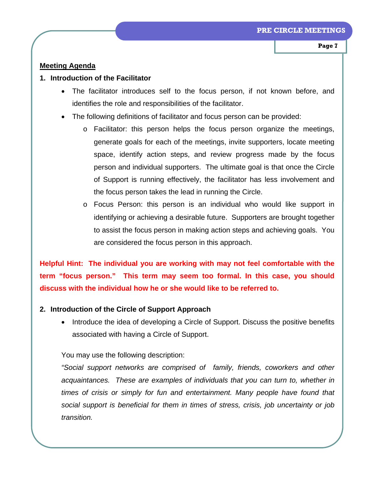## **Meeting Agenda**

## **1. Introduction of the Facilitator**

- The facilitator introduces self to the focus person, if not known before, and identifies the role and responsibilities of the facilitator.
- The following definitions of facilitator and focus person can be provided:
	- o Facilitator: this person helps the focus person organize the meetings, generate goals for each of the meetings, invite supporters, locate meeting space, identify action steps, and review progress made by the focus person and individual supporters. The ultimate goal is that once the Circle of Support is running effectively, the facilitator has less involvement and the focus person takes the lead in running the Circle.
	- o Focus Person: this person is an individual who would like support in identifying or achieving a desirable future. Supporters are brought together to assist the focus person in making action steps and achieving goals. You are considered the focus person in this approach.

**Helpful Hint: The individual you are working with may not feel comfortable with the term "focus person." This term may seem too formal. In this case, you should discuss with the individual how he or she would like to be referred to.** 

## **2. Introduction of the Circle of Support Approach**

• Introduce the idea of developing a Circle of Support. Discuss the positive benefits associated with having a Circle of Support.

You may use the following description:

*"Social support networks are comprised of family, friends, coworkers and other acquaintances. These are examples of individuals that you can turn to, whether in times of crisis or simply for fun and entertainment. Many people have found that social support is beneficial for them in times of stress, crisis, job uncertainty or job transition.*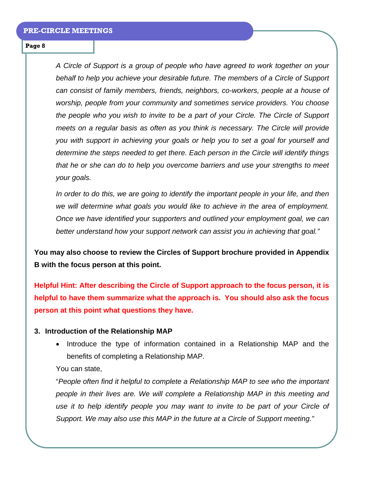*A Circle of Support is a group of people who have agreed to work together on your behalf to help you achieve your desirable future. The members of a Circle of Support can consist of family members, friends, neighbors, co-workers, people at a house of worship, people from your community and sometimes service providers. You choose the people who you wish to invite to be a part of your Circle. The Circle of Support meets on a regular basis as often as you think is necessary. The Circle will provide you with support in achieving your goals or help you to set a goal for yourself and determine the steps needed to get there. Each person in the Circle will identify things that he or she can do to help you overcome barriers and use your strengths to meet your goals.* 

*In order to do this, we are going to identify the important people in your life, and then we will determine what goals you would like to achieve in the area of employment. Once we have identified your supporters and outlined your employment goal, we can better understand how your support network can assist you in achieving that goal."* 

**You may also choose to review the Circles of Support brochure provided in Appendix B with the focus person at this point.** 

**Helpful Hint: After describing the Circle of Support approach to the focus person, it is helpful to have them summarize what the approach is. You should also ask the focus person at this point what questions they have.** 

## **3. Introduction of the Relationship MAP**

• Introduce the type of information contained in a Relationship MAP and the benefits of completing a Relationship MAP.

You can state,

"*People often find it helpful to complete a Relationship MAP to see who the important people in their lives are. We will complete a Relationship MAP in this meeting and*  use it to help identify people you may want to invite to be part of your Circle of *Support. We may also use this MAP in the future at a Circle of Support meeting."*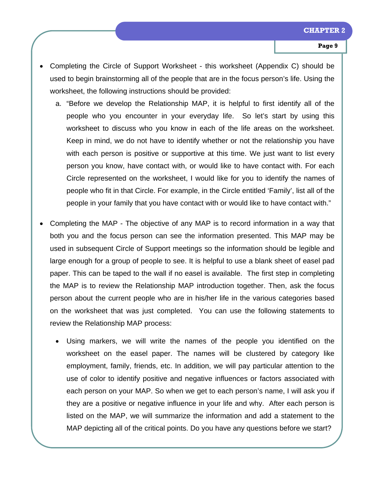- Completing the Circle of Support Worksheet this worksheet (Appendix C) should be used to begin brainstorming all of the people that are in the focus person's life. Using the worksheet, the following instructions should be provided:
	- a. "Before we develop the Relationship MAP, it is helpful to first identify all of the people who you encounter in your everyday life. So let's start by using this worksheet to discuss who you know in each of the life areas on the worksheet. Keep in mind, we do not have to identify whether or not the relationship you have with each person is positive or supportive at this time. We just want to list every person you know, have contact with, or would like to have contact with. For each Circle represented on the worksheet, I would like for you to identify the names of people who fit in that Circle. For example, in the Circle entitled 'Family', list all of the people in your family that you have contact with or would like to have contact with."
- Completing the MAP The objective of any MAP is to record information in a way that both you and the focus person can see the information presented. This MAP may be used in subsequent Circle of Support meetings so the information should be legible and large enough for a group of people to see. It is helpful to use a blank sheet of easel pad paper. This can be taped to the wall if no easel is available. The first step in completing the MAP is to review the Relationship MAP introduction together. Then, ask the focus person about the current people who are in his/her life in the various categories based on the worksheet that was just completed. You can use the following statements to review the Relationship MAP process:
	- Using markers, we will write the names of the people you identified on the worksheet on the easel paper. The names will be clustered by category like employment, family, friends, etc. In addition, we will pay particular attention to the use of color to identify positive and negative influences or factors associated with each person on your MAP. So when we get to each person's name, I will ask you if they are a positive or negative influence in your life and why. After each person is listed on the MAP, we will summarize the information and add a statement to the MAP depicting all of the critical points. Do you have any questions before we start?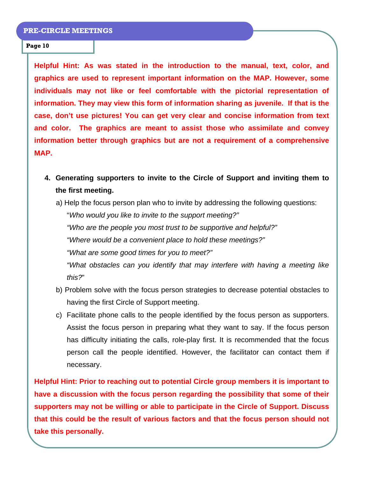**Helpful Hint: As was stated in the introduction to the manual, text, color, and graphics are used to represent important information on the MAP. However, some individuals may not like or feel comfortable with the pictorial representation of information. They may view this form of information sharing as juvenile. If that is the case, don't use pictures! You can get very clear and concise information from text and color. The graphics are meant to assist those who assimilate and convey information better through graphics but are not a requirement of a comprehensive MAP.** 

**4. Generating supporters to invite to the Circle of Support and inviting them to the first meeting.**

a) Help the focus person plan who to invite by addressing the following questions:

"*Who would you like to invite to the support meeting?" "Who are the people you most trust to be supportive and helpful?" "Where would be a convenient place to hold these meetings?" "What are some good times for you to meet?"* 

*"What obstacles can you identify that may interfere with having a meeting like this?*"

- b) Problem solve with the focus person strategies to decrease potential obstacles to having the first Circle of Support meeting.
- c) Facilitate phone calls to the people identified by the focus person as supporters. Assist the focus person in preparing what they want to say. If the focus person has difficulty initiating the calls, role-play first. It is recommended that the focus person call the people identified. However, the facilitator can contact them if necessary.

**Helpful Hint: Prior to reaching out to potential Circle group members it is important to have a discussion with the focus person regarding the possibility that some of their supporters may not be willing or able to participate in the Circle of Support. Discuss that this could be the result of various factors and that the focus person should not take this personally.**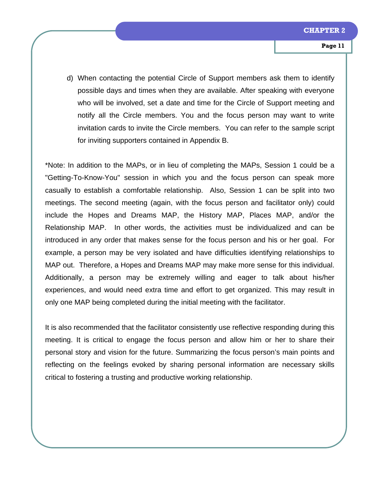d) When contacting the potential Circle of Support members ask them to identify possible days and times when they are available. After speaking with everyone who will be involved, set a date and time for the Circle of Support meeting and notify all the Circle members. You and the focus person may want to write invitation cards to invite the Circle members. You can refer to the sample script for inviting supporters contained in Appendix B.

\*Note: In addition to the MAPs, or in lieu of completing the MAPs, Session 1 could be a "Getting-To-Know-You" session in which you and the focus person can speak more casually to establish a comfortable relationship. Also, Session 1 can be split into two meetings. The second meeting (again, with the focus person and facilitator only) could include the Hopes and Dreams MAP, the History MAP, Places MAP, and/or the Relationship MAP. In other words, the activities must be individualized and can be introduced in any order that makes sense for the focus person and his or her goal. For example, a person may be very isolated and have difficulties identifying relationships to MAP out. Therefore, a Hopes and Dreams MAP may make more sense for this individual. Additionally, a person may be extremely willing and eager to talk about his/her experiences, and would need extra time and effort to get organized. This may result in only one MAP being completed during the initial meeting with the facilitator.

It is also recommended that the facilitator consistently use reflective responding during this meeting. It is critical to engage the focus person and allow him or her to share their personal story and vision for the future. Summarizing the focus person's main points and reflecting on the feelings evoked by sharing personal information are necessary skills critical to fostering a trusting and productive working relationship.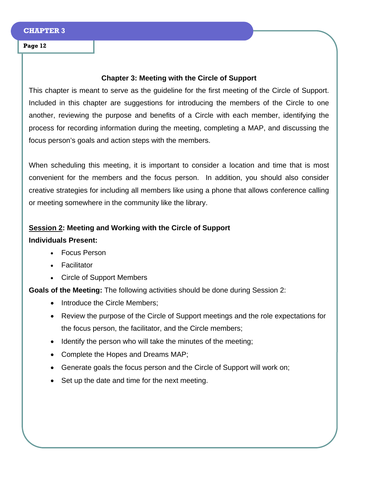## **Chapter 3: Meeting with the Circle of Support**

This chapter is meant to serve as the guideline for the first meeting of the Circle of Support. Included in this chapter are suggestions for introducing the members of the Circle to one another, reviewing the purpose and benefits of a Circle with each member, identifying the process for recording information during the meeting, completing a MAP, and discussing the focus person's goals and action steps with the members.

When scheduling this meeting, it is important to consider a location and time that is most convenient for the members and the focus person. In addition, you should also consider creative strategies for including all members like using a phone that allows conference calling or meeting somewhere in the community like the library.

## **Session 2: Meeting and Working with the Circle of Support**

## **Individuals Present:**

- Focus Person
- **Facilitator**
- Circle of Support Members

**Goals of the Meeting:** The following activities should be done during Session 2:

- Introduce the Circle Members;
- Review the purpose of the Circle of Support meetings and the role expectations for the focus person, the facilitator, and the Circle members;
- Identify the person who will take the minutes of the meeting;
- Complete the Hopes and Dreams MAP;
- Generate goals the focus person and the Circle of Support will work on;
- Set up the date and time for the next meeting.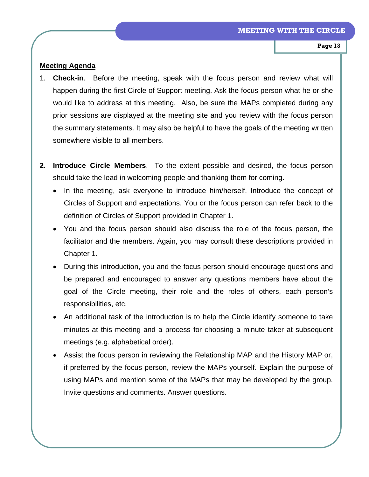## **Meeting Agenda**

- 1. **Check-in**. Before the meeting, speak with the focus person and review what will happen during the first Circle of Support meeting. Ask the focus person what he or she would like to address at this meeting. Also, be sure the MAPs completed during any prior sessions are displayed at the meeting site and you review with the focus person the summary statements. It may also be helpful to have the goals of the meeting written somewhere visible to all members.
- **2. Introduce Circle Members**. To the extent possible and desired, the focus person should take the lead in welcoming people and thanking them for coming.
	- In the meeting, ask everyone to introduce him/herself. Introduce the concept of Circles of Support and expectations. You or the focus person can refer back to the definition of Circles of Support provided in Chapter 1.
	- You and the focus person should also discuss the role of the focus person, the facilitator and the members. Again, you may consult these descriptions provided in Chapter 1.
	- During this introduction, you and the focus person should encourage questions and be prepared and encouraged to answer any questions members have about the goal of the Circle meeting, their role and the roles of others, each person's responsibilities, etc.
	- An additional task of the introduction is to help the Circle identify someone to take minutes at this meeting and a process for choosing a minute taker at subsequent meetings (e.g. alphabetical order).
	- Assist the focus person in reviewing the Relationship MAP and the History MAP or, if preferred by the focus person, review the MAPs yourself. Explain the purpose of using MAPs and mention some of the MAPs that may be developed by the group. Invite questions and comments. Answer questions.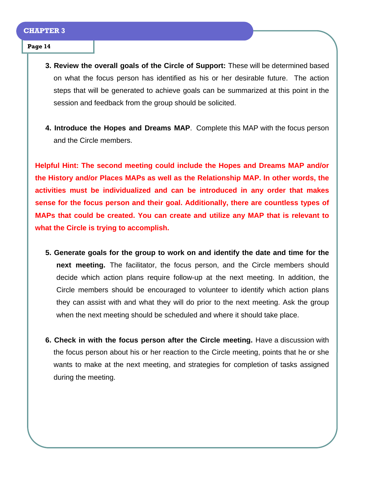- **3. Review the overall goals of the Circle of Support:** These will be determined based on what the focus person has identified as his or her desirable future. The action steps that will be generated to achieve goals can be summarized at this point in the session and feedback from the group should be solicited.
- **4. Introduce the Hopes and Dreams MAP**. Complete this MAP with the focus person and the Circle members.

**Helpful Hint: The second meeting could include the Hopes and Dreams MAP and/or the History and/or Places MAPs as well as the Relationship MAP. In other words, the activities must be individualized and can be introduced in any order that makes sense for the focus person and their goal. Additionally, there are countless types of MAPs that could be created. You can create and utilize any MAP that is relevant to what the Circle is trying to accomplish.** 

- **5. Generate goals for the group to work on and identify the date and time for the next meeting.** The facilitator, the focus person, and the Circle members should decide which action plans require follow-up at the next meeting. In addition, the Circle members should be encouraged to volunteer to identify which action plans they can assist with and what they will do prior to the next meeting. Ask the group when the next meeting should be scheduled and where it should take place.
- **6. Check in with the focus person after the Circle meeting.** Have a discussion with the focus person about his or her reaction to the Circle meeting, points that he or she wants to make at the next meeting, and strategies for completion of tasks assigned during the meeting.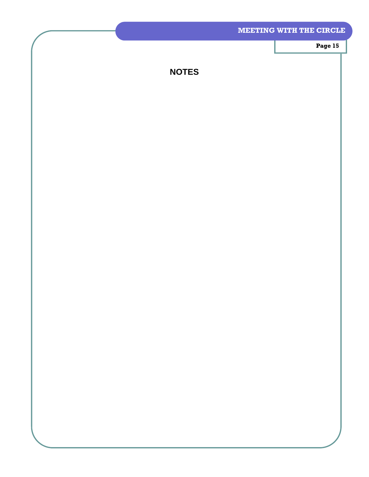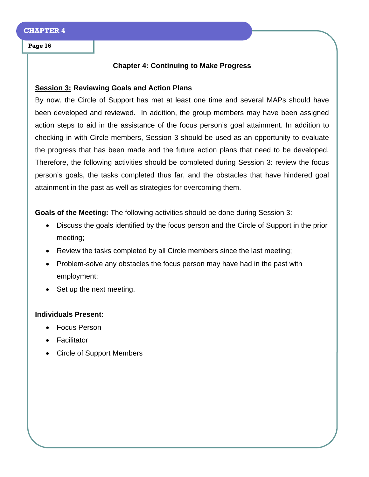## **Chapter 4: Continuing to Make Progress**

## **Session 3: Reviewing Goals and Action Plans**

By now, the Circle of Support has met at least one time and several MAPs should have been developed and reviewed. In addition, the group members may have been assigned action steps to aid in the assistance of the focus person's goal attainment. In addition to checking in with Circle members, Session 3 should be used as an opportunity to evaluate the progress that has been made and the future action plans that need to be developed. Therefore, the following activities should be completed during Session 3: review the focus person's goals, the tasks completed thus far, and the obstacles that have hindered goal attainment in the past as well as strategies for overcoming them.

**Goals of the Meeting:** The following activities should be done during Session 3:

- Discuss the goals identified by the focus person and the Circle of Support in the prior meeting;
- Review the tasks completed by all Circle members since the last meeting;
- Problem-solve any obstacles the focus person may have had in the past with employment;
- Set up the next meeting.

## **Individuals Present:**

- Focus Person
- Facilitator
- Circle of Support Members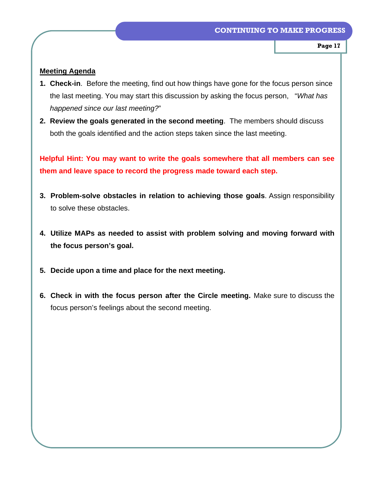## **Meeting Agenda**

- **1. Check-in**. Before the meeting, find out how things have gone for the focus person since the last meeting. You may start this discussion by asking the focus person, "*What has happened since our last meeting?*"
- **2. Review the goals generated in the second meeting**. The members should discuss both the goals identified and the action steps taken since the last meeting.

**Helpful Hint: You may want to write the goals somewhere that all members can see them and leave space to record the progress made toward each step.**

- **3. Problem-solve obstacles in relation to achieving those goals**. Assign responsibility to solve these obstacles.
- **4. Utilize MAPs as needed to assist with problem solving and moving forward with the focus person's goal.**
- **5. Decide upon a time and place for the next meeting.**
- **6. Check in with the focus person after the Circle meeting.** Make sure to discuss the focus person's feelings about the second meeting.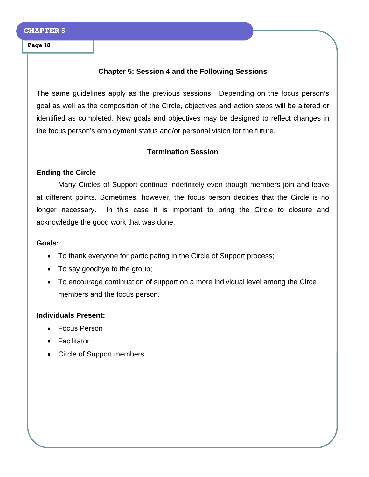## **Chapter 5: Session 4 and the Following Sessions**

The same guidelines apply as the previous sessions. Depending on the focus person's goal as well as the composition of the Circle, objectives and action steps will be altered or identified as completed. New goals and objectives may be designed to reflect changes in the focus person's employment status and/or personal vision for the future.

## **Termination Session**

## **Ending the Circle**

 Many Circles of Support continue indefinitely even though members join and leave at different points. Sometimes, however, the focus person decides that the Circle is no longer necessary. In this case it is important to bring the Circle to closure and acknowledge the good work that was done.

## **Goals:**

- To thank everyone for participating in the Circle of Support process;
- To say goodbye to the group;
- To encourage continuation of support on a more individual level among the Circe members and the focus person.

## **Individuals Present:**

- Focus Person
- Facilitator
- Circle of Support members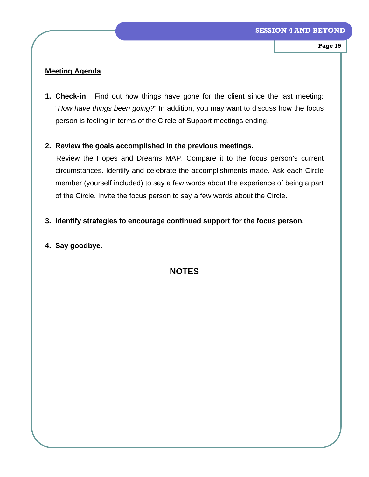## **Meeting Agenda**

**1. Check-in**. Find out how things have gone for the client since the last meeting: "*How have things been going?*" In addition, you may want to discuss how the focus person is feeling in terms of the Circle of Support meetings ending.

## **2. Review the goals accomplished in the previous meetings.**

Review the Hopes and Dreams MAP. Compare it to the focus person's current circumstances. Identify and celebrate the accomplishments made. Ask each Circle member (yourself included) to say a few words about the experience of being a part of the Circle. Invite the focus person to say a few words about the Circle.

## **3. Identify strategies to encourage continued support for the focus person.**

## **4. Say goodbye.**

## **NOTES**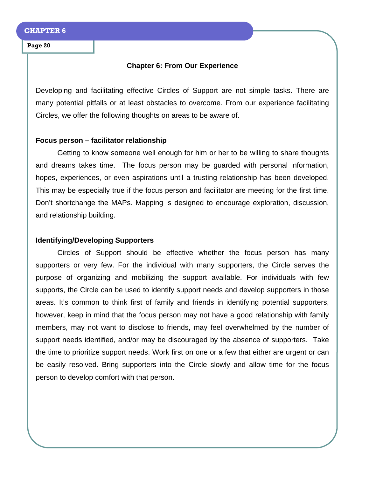## **Chapter 6: From Our Experience**

Developing and facilitating effective Circles of Support are not simple tasks. There are many potential pitfalls or at least obstacles to overcome. From our experience facilitating Circles, we offer the following thoughts on areas to be aware of.

## **Focus person – facilitator relationship**

 Getting to know someone well enough for him or her to be willing to share thoughts and dreams takes time. The focus person may be guarded with personal information, hopes, experiences, or even aspirations until a trusting relationship has been developed. This may be especially true if the focus person and facilitator are meeting for the first time. Don't shortchange the MAPs. Mapping is designed to encourage exploration, discussion, and relationship building.

## **Identifying/Developing Supporters**

 Circles of Support should be effective whether the focus person has many supporters or very few. For the individual with many supporters, the Circle serves the purpose of organizing and mobilizing the support available. For individuals with few supports, the Circle can be used to identify support needs and develop supporters in those areas. It's common to think first of family and friends in identifying potential supporters, however, keep in mind that the focus person may not have a good relationship with family members, may not want to disclose to friends, may feel overwhelmed by the number of support needs identified, and/or may be discouraged by the absence of supporters. Take the time to prioritize support needs. Work first on one or a few that either are urgent or can be easily resolved. Bring supporters into the Circle slowly and allow time for the focus person to develop comfort with that person.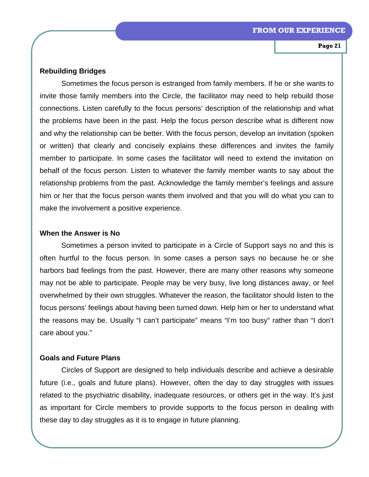## **Rebuilding Bridges**

Sometimes the focus person is estranged from family members. If he or she wants to invite those family members into the Circle, the facilitator may need to help rebuild those connections. Listen carefully to the focus persons' description of the relationship and what the problems have been in the past. Help the focus person describe what is different now and why the relationship can be better. With the focus person, develop an invitation (spoken or written) that clearly and concisely explains these differences and invites the family member to participate. In some cases the facilitator will need to extend the invitation on behalf of the focus person. Listen to whatever the family member wants to say about the relationship problems from the past. Acknowledge the family member's feelings and assure him or her that the focus person wants them involved and that you will do what you can to make the involvement a positive experience.

## **When the Answer is No**

 Sometimes a person invited to participate in a Circle of Support says no and this is often hurtful to the focus person. In some cases a person says no because he or she harbors bad feelings from the past. However, there are many other reasons why someone may not be able to participate. People may be very busy, live long distances away, or feel overwhelmed by their own struggles. Whatever the reason, the facilitator should listen to the focus persons' feelings about having been turned down. Help him or her to understand what the reasons may be. Usually "I can't participate" means "I'm too busy" rather than "I don't care about you."

## **Goals and Future Plans**

 Circles of Support are designed to help individuals describe and achieve a desirable future (i.e., goals and future plans). However, often the day to day struggles with issues related to the psychiatric disability, inadequate resources, or others get in the way. It's just as important for Circle members to provide supports to the focus person in dealing with these day to day struggles as it is to engage in future planning.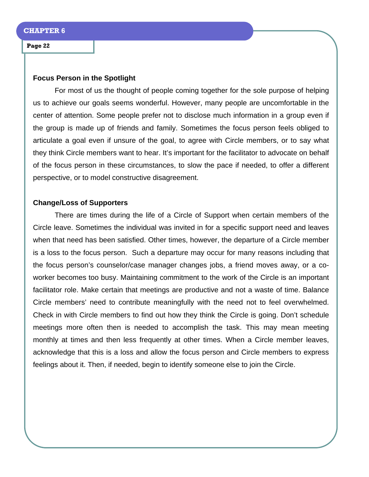### **Focus Person in the Spotlight**

 For most of us the thought of people coming together for the sole purpose of helping us to achieve our goals seems wonderful. However, many people are uncomfortable in the center of attention. Some people prefer not to disclose much information in a group even if the group is made up of friends and family. Sometimes the focus person feels obliged to articulate a goal even if unsure of the goal, to agree with Circle members, or to say what they think Circle members want to hear. It's important for the facilitator to advocate on behalf of the focus person in these circumstances, to slow the pace if needed, to offer a different perspective, or to model constructive disagreement.

## **Change/Loss of Supporters**

 There are times during the life of a Circle of Support when certain members of the Circle leave. Sometimes the individual was invited in for a specific support need and leaves when that need has been satisfied. Other times, however, the departure of a Circle member is a loss to the focus person. Such a departure may occur for many reasons including that the focus person's counselor/case manager changes jobs, a friend moves away, or a coworker becomes too busy. Maintaining commitment to the work of the Circle is an important facilitator role. Make certain that meetings are productive and not a waste of time. Balance Circle members' need to contribute meaningfully with the need not to feel overwhelmed. Check in with Circle members to find out how they think the Circle is going. Don't schedule meetings more often then is needed to accomplish the task. This may mean meeting monthly at times and then less frequently at other times. When a Circle member leaves, acknowledge that this is a loss and allow the focus person and Circle members to express feelings about it. Then, if needed, begin to identify someone else to join the Circle.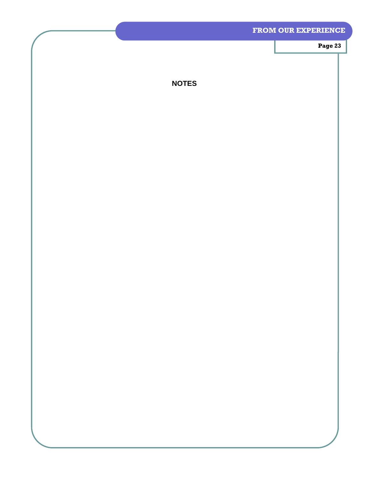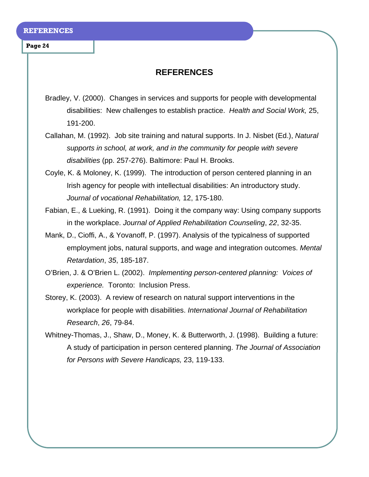## **REFERENCES**

- Bradley, V. (2000). Changes in services and supports for people with developmental disabilities: New challenges to establish practice. *Health and Social Work,* 25, 191-200.
- Callahan, M. (1992). Job site training and natural supports. In J. Nisbet (Ed.), *Natural supports in school, at work, and in the community for people with severe disabilities* (pp. 257-276). Baltimore: Paul H. Brooks.
- Coyle, K. & Moloney, K. (1999). The introduction of person centered planning in an Irish agency for people with intellectual disabilities: An introductory study. *Journal of vocational Rehabilitation,* 12, 175-180.
- Fabian, E., & Lueking, R. (1991). Doing it the company way: Using company supports in the workplace. *Journal of Applied Rehabilitation Counseling*, *22*, 32-35.
- Mank, D., Cioffi, A., & Yovanoff, P. (1997). Analysis of the typicalness of supported employment jobs, natural supports, and wage and integration outcomes. *Mental Retardation*, *35*, 185-187.
- O'Brien, J. & O'Brien L. (2002). *Implementing person-centered planning: Voices of experience.* Toronto: Inclusion Press.
- Storey, K. (2003). A review of research on natural support interventions in the workplace for people with disabilities. *International Journal of Rehabilitation Research*, *26*, 79-84.
- Whitney-Thomas, J., Shaw, D., Money, K. & Butterworth, J. (1998). Building a future: A study of participation in person centered planning. *The Journal of Association for Persons with Severe Handicaps,* 23, 119-133.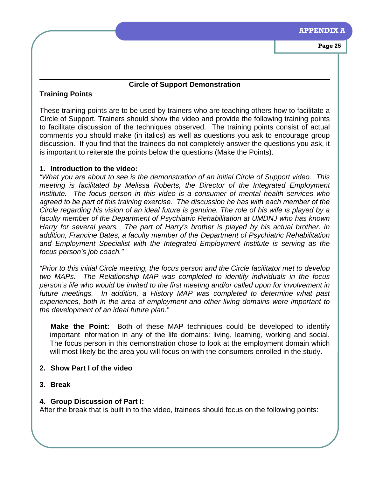## **Circle of Support Demonstration**

## **Training Points**

These training points are to be used by trainers who are teaching others how to facilitate a Circle of Support. Trainers should show the video and provide the following training points to facilitate discussion of the techniques observed. The training points consist of actual comments you should make (in italics) as well as questions you ask to encourage group discussion. If you find that the trainees do not completely answer the questions you ask, it is important to reiterate the points below the questions (Make the Points).

## **1. Introduction to the video:**

*"What you are about to see is the demonstration of an initial Circle of Support video. This meeting is facilitated by Melissa Roberts, the Director of the Integrated Employment Institute. The focus person in this video is a consumer of mental health services who agreed to be part of this training exercise. The discussion he has with each member of the Circle regarding his vision of an ideal future is genuine. The role of his wife is played by a faculty member of the Department of Psychiatric Rehabilitation at UMDNJ who has known Harry for several years. The part of Harry's brother is played by his actual brother. In addition, Francine Bates, a faculty member of the Department of Psychiatric Rehabilitation and Employment Specialist with the Integrated Employment Institute is serving as the focus person's job coach."* 

*"Prior to this initial Circle meeting, the focus person and the Circle facilitator met to develop two MAPs. The Relationship MAP was completed to identify individuals in the focus person's life who would be invited to the first meeting and/or called upon for involvement in*  future meetings. In addition, a History MAP was completed to determine what past *experiences, both in the area of employment and other living domains were important to the development of an ideal future plan."* 

**Make the Point:** Both of these MAP techniques could be developed to identify important information in any of the life domains: living, learning, working and social. The focus person in this demonstration chose to look at the employment domain which will most likely be the area you will focus on with the consumers enrolled in the study.

## **2. Show Part I of the video**

**3. Break** 

## **4. Group Discussion of Part I:**

After the break that is built in to the video, trainees should focus on the following points: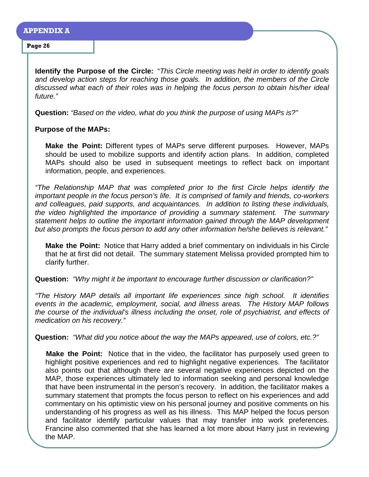**Identify the Purpose of the Circle:** "*This Circle meeting was held in order to identify goals and develop action steps for reaching those goals. In addition, the members of the Circle discussed what each of their roles was in helping the focus person to obtain his/her ideal future."* 

**Question:** *"Based on the video, what do you think the purpose of using MAPs is?"* 

## **Purpose of the MAPs:**

**Make the Point:** Different types of MAPs serve different purposes. However, MAPs should be used to mobilize supports and identify action plans. In addition, completed MAPs should also be used in subsequent meetings to reflect back on important information, people, and experiences.

*"The Relationship MAP that was completed prior to the first Circle helps identify the important people in the focus person's life. It is comprised of family and friends, co-workers and colleagues, paid supports, and acquaintances. In addition to listing these individuals, the video highlighted the importance of providing a summary statement. The summary statement helps to outline the important information gained through the MAP development but also prompts the focus person to add any other information he/she believes is relevant."* 

**Make the Point:** Notice that Harry added a brief commentary on individuals in his Circle that he at first did not detail. The summary statement Melissa provided prompted him to clarify further.

**Question:** *"Why might it be important to encourage further discussion or clarification?"* 

*"The History MAP details all important life experiences since high school. It identifies events in the academic, employment, social, and illness areas. The History MAP follows the course of the individual's illness including the onset, role of psychiatrist, and effects of medication on his recovery."* 

**Question:** *"What did you notice about the way the MAPs appeared, use of colors, etc.?"* 

**Make the Point:** Notice that in the video, the facilitator has purposely used green to highlight positive experiences and red to highlight negative experiences. The facilitator also points out that although there are several negative experiences depicted on the MAP, those experiences ultimately led to information seeking and personal knowledge that have been instrumental in the person's recovery. In addition, the facilitator makes a summary statement that prompts the focus person to reflect on his experiences and add commentary on his optimistic view on his personal journey and positive comments on his understanding of his progress as well as his illness. This MAP helped the focus person and facilitator identify particular values that may transfer into work preferences. Francine also commented that she has learned a lot more about Harry just in reviewing the MAP.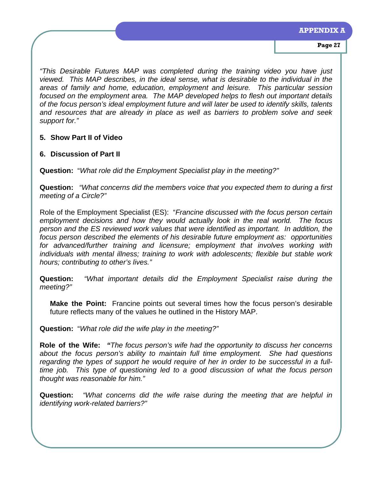*"This Desirable Futures MAP was completed during the training video you have just viewed. This MAP describes, in the ideal sense, what is desirable to the individual in the areas of family and home, education, employment and leisure. This particular session focused on the employment area. The MAP developed helps to flesh out important details of the focus person's ideal employment future and will later be used to identify skills, talents and resources that are already in place as well as barriers to problem solve and seek support for."* 

## **5. Show Part II of Video**

## **6. Discussion of Part II**

**Question:** "*What role did the Employment Specialist play in the meeting?"* 

**Question:** *"What concerns did the members voice that you expected them to during a first meeting of a Circle?"* 

Role of the Employment Specialist (ES): "*Francine discussed with the focus person certain employment decisions and how they would actually look in the real world. The focus person and the ES reviewed work values that were identified as important. In addition, the focus person described the elements of his desirable future employment as: opportunities for advanced/further training and licensure; employment that involves working with individuals with mental illness; training to work with adolescents; flexible but stable work hours; contributing to other's lives."* 

**Question:** *"What important details did the Employment Specialist raise during the meeting?"* 

**Make the Point:** Francine points out several times how the focus person's desirable future reflects many of the values he outlined in the History MAP.

**Question:** "*What role did the wife play in the meeting?"* 

**Role of the Wife:** *"The focus person's wife had the opportunity to discuss her concerns about the focus person's ability to maintain full time employment. She had questions regarding the types of support he would require of her in order to be successful in a fulltime job. This type of questioning led to a good discussion of what the focus person thought was reasonable for him."* 

**Question:** *"What concerns did the wife raise during the meeting that are helpful in identifying work-related barriers?"*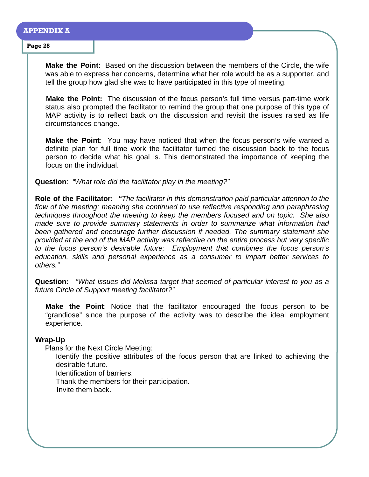### **APPENDIX A**

#### **Page 28**

**Make the Point:** Based on the discussion between the members of the Circle, the wife was able to express her concerns, determine what her role would be as a supporter, and tell the group how glad she was to have participated in this type of meeting.

**Make the Point:** The discussion of the focus person's full time versus part-time work status also prompted the facilitator to remind the group that one purpose of this type of MAP activity is to reflect back on the discussion and revisit the issues raised as life circumstances change.

**Make the Point**: You may have noticed that when the focus person's wife wanted a definite plan for full time work the facilitator turned the discussion back to the focus person to decide what his goal is. This demonstrated the importance of keeping the focus on the individual.

**Question**: *"What role did the facilitator play in the meeting?"* 

**Role of the Facilitator:** *"The facilitator in this demonstration paid particular attention to the*  flow of the meeting; meaning she continued to use reflective responding and paraphrasing *techniques throughout the meeting to keep the members focused and on topic. She also made sure to provide summary statements in order to summarize what information had been gathered and encourage further discussion if needed. The summary statement she provided at the end of the MAP activity was reflective on the entire process but very specific to the focus person's desirable future: Employment that combines the focus person's education, skills and personal experience as a consumer to impart better services to others."* 

**Question:** *"What issues did Melissa target that seemed of particular interest to you as a future Circle of Support meeting facilitator?"* 

**Make the Point**: Notice that the facilitator encouraged the focus person to be "grandiose" since the purpose of the activity was to describe the ideal employment experience.

## **Wrap-Up**

Plans for the Next Circle Meeting:

Identify the positive attributes of the focus person that are linked to achieving the desirable future.

Identification of barriers.

Thank the members for their participation.

Invite them back.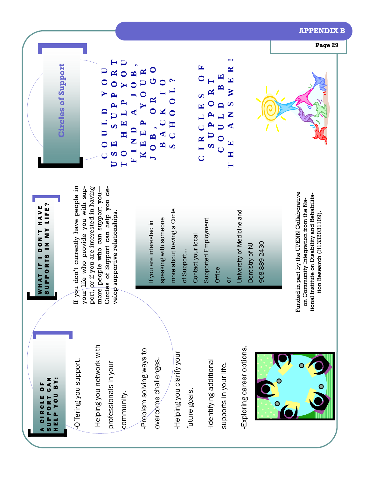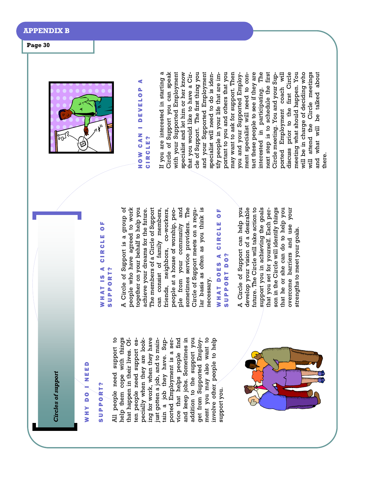*Circles of support*  **Circles of support** 

# WHY DO I NEED WHY DO INEED

## SUPPORT? SUPPORT?

All people need support to help them cope with things ing for work, when they have ing for work, when they have vice that helps people find and keep jobs. Sometimes in addition to the support you addition to the support you ment you may also want to ment you may also want to involve other people to help All people need support to help them cope with things that happen in their lives. Often péople need support especially when they are lookjust gotten a job, and to maintain a job they have. Supported Employment is a service that helps people find and keep jobs. Sometimes in get from Supported Employinvolve other people to help that happen in their lives. Often people need support especially when they are lookjust gotten a job, and to maintain a job they have. Supported Employment is a serget from Supported Employsupport you. support you.



## WHAT IS A CIRCLE OF WHAT IS A CIRCLE OF SUPPORT? **SUPPORT?**

A Circle of Support is a group of people who have agreed to work people who have agreed to work together on your behalf to help you together on your behalf to help you achieve your dreams for the future. The members of a Circle of Support can consist of family members, friends, neighbors, co-workers, ple from your community and ple from your community and sometimes service providers. The sometimes service providers. The Circle of Support meets on a regular basis as often as you think is lar basis as often as you think is A Circle of Support is a group of achieve your dreams for the future. The members of a Circle of Support people at a house of worship, peocan consist of family members, friends, neighbors, co-workers, people at a house of worship, peo-Circle of Support meets on a regunecessary. necessary.

## WHAT DOES A CIRCLE OF WHAT DOES A CIRCLE OF SUPPORT DO? SUPPORT DO?

A Circle of Support can help you develop your vision of a desirable develop your vision of a desirable future. The Circle will take action to future. The Circle will take action to support you in achieving the goals support you in achieving the goals that you set for yourself. Each person in the Circle will identify things son in the Circle will identify things that he or she can do to help you that he or she can do to help you overcome barriers and use your overcome barriers and use your A Circle of Support can help you that you set for yourself. Each perstrengths to meet your goals. strengths to meet your goals.



## HOW CAN I DEVELOP A ¢ HOW CAN I DEVELOP **CIRCLE?** CIRCLE?

If you are interested in starting a Circle of Support you can speak Circle of Support you can speak with your Supported Employment specialist and let him or her know cle of Support. The first thing you and your Supported Employment portant to you and others that you portant to you and others that you may want to ask for support. Then may want to ask for support. Then tact these people to see if they are interested in participating. The interested in participating. The next step is to schedule the first ported Employment coach will discuss prior to the first Circle discuss prior to the first Circle meeting what should happen. You meeting what should happen. You will be in charge of deciding who will be in charge of deciding who will attend the Circle meetings and what will be talked about If you are interested in starting a with your Supported Employment specialist and let him or her know that you would like to have a Circle of Support. The first thing you and your Supported Employment specialist will need to do is identify people in your life that are imyou and your Supported Employment specialist will need to contact these people to see if they are next step is to schedule the first ported Employment coach will will attend the Circle meetings that you would like to have a Cirspecialist will need to do is identify people in your life that are imyou and your Supported Employment specialist will need to con-Circle meeting. You and your Sup-Circle meeting. You and your Supand what will be talked about there.

**Page 30**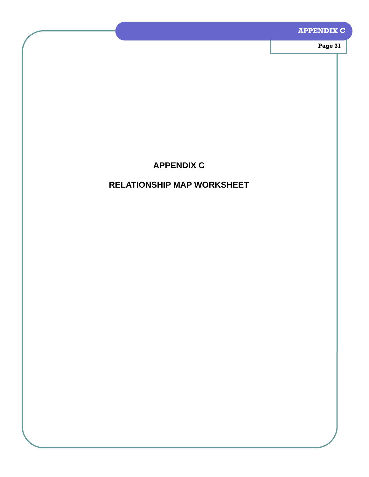## **APPENDIX C**

**Page 31** 

## **APPENDIX C**

## **RELATIONSHIP MAP WORKSHEET**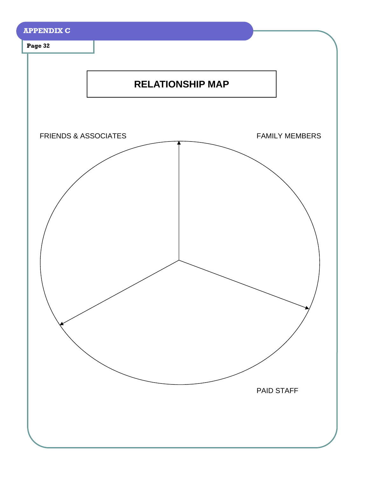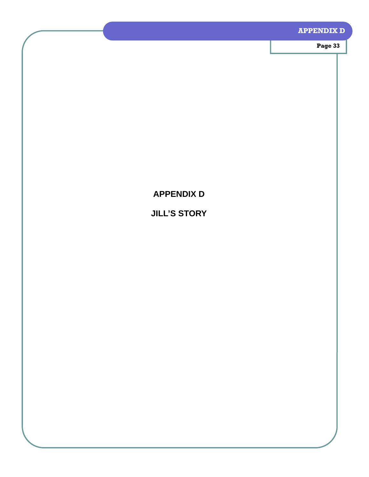## **APPENDIX D**

**Page 33** 

## **APPENDIX D**

## **JILL'S STORY**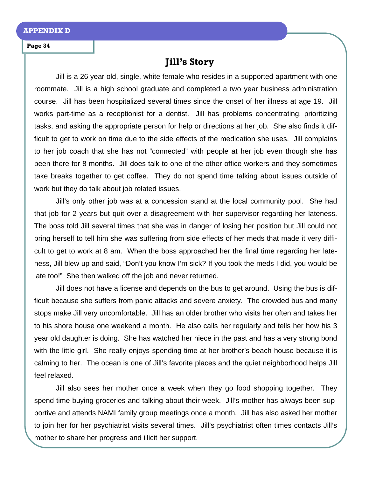## **Jill's Story**

Jill is a 26 year old, single, white female who resides in a supported apartment with one roommate. Jill is a high school graduate and completed a two year business administration course. Jill has been hospitalized several times since the onset of her illness at age 19. Jill works part-time as a receptionist for a dentist. Jill has problems concentrating, prioritizing tasks, and asking the appropriate person for help or directions at her job. She also finds it difficult to get to work on time due to the side effects of the medication she uses. Jill complains to her job coach that she has not "connected" with people at her job even though she has been there for 8 months. Jill does talk to one of the other office workers and they sometimes take breaks together to get coffee. They do not spend time talking about issues outside of work but they do talk about job related issues.

Jill's only other job was at a concession stand at the local community pool. She had that job for 2 years but quit over a disagreement with her supervisor regarding her lateness. The boss told Jill several times that she was in danger of losing her position but Jill could not bring herself to tell him she was suffering from side effects of her meds that made it very difficult to get to work at 8 am. When the boss approached her the final time regarding her lateness, Jill blew up and said, "Don't you know I'm sick? If you took the meds I did, you would be late too!" She then walked off the job and never returned.

 Jill does not have a license and depends on the bus to get around. Using the bus is difficult because she suffers from panic attacks and severe anxiety. The crowded bus and many stops make Jill very uncomfortable. Jill has an older brother who visits her often and takes her to his shore house one weekend a month. He also calls her regularly and tells her how his 3 year old daughter is doing. She has watched her niece in the past and has a very strong bond with the little girl. She really enjoys spending time at her brother's beach house because it is calming to her. The ocean is one of Jill's favorite places and the quiet neighborhood helps Jill feel relaxed.

Jill also sees her mother once a week when they go food shopping together. They spend time buying groceries and talking about their week. Jill's mother has always been supportive and attends NAMI family group meetings once a month. Jill has also asked her mother to join her for her psychiatrist visits several times. Jill's psychiatrist often times contacts Jill's mother to share her progress and illicit her support.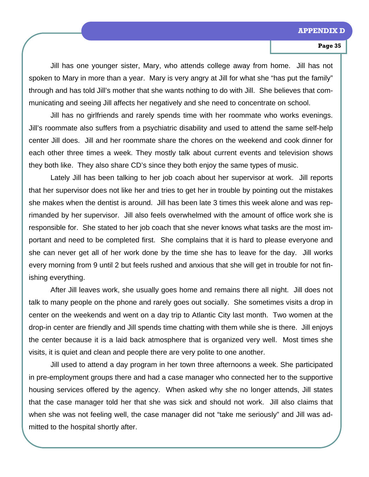Jill has one younger sister, Mary, who attends college away from home. Jill has not spoken to Mary in more than a year. Mary is very angry at Jill for what she "has put the family" through and has told Jill's mother that she wants nothing to do with Jill. She believes that communicating and seeing Jill affects her negatively and she need to concentrate on school.

Jill has no girlfriends and rarely spends time with her roommate who works evenings. Jill's roommate also suffers from a psychiatric disability and used to attend the same self-help center Jill does. Jill and her roommate share the chores on the weekend and cook dinner for each other three times a week. They mostly talk about current events and television shows they both like. They also share CD's since they both enjoy the same types of music.

Lately Jill has been talking to her job coach about her supervisor at work. Jill reports that her supervisor does not like her and tries to get her in trouble by pointing out the mistakes she makes when the dentist is around. Jill has been late 3 times this week alone and was reprimanded by her supervisor. Jill also feels overwhelmed with the amount of office work she is responsible for. She stated to her job coach that she never knows what tasks are the most important and need to be completed first. She complains that it is hard to please everyone and she can never get all of her work done by the time she has to leave for the day. Jill works every morning from 9 until 2 but feels rushed and anxious that she will get in trouble for not finishing everything.

After Jill leaves work, she usually goes home and remains there all night. Jill does not talk to many people on the phone and rarely goes out socially. She sometimes visits a drop in center on the weekends and went on a day trip to Atlantic City last month. Two women at the drop-in center are friendly and Jill spends time chatting with them while she is there. Jill enjoys the center because it is a laid back atmosphere that is organized very well. Most times she visits, it is quiet and clean and people there are very polite to one another.

Jill used to attend a day program in her town three afternoons a week. She participated in pre-employment groups there and had a case manager who connected her to the supportive housing services offered by the agency. When asked why she no longer attends, Jill states that the case manager told her that she was sick and should not work. Jill also claims that when she was not feeling well, the case manager did not "take me seriously" and Jill was admitted to the hospital shortly after.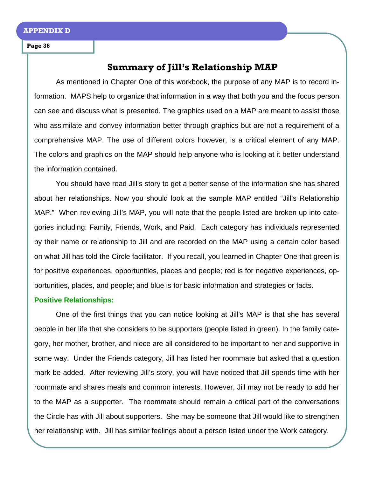## **Summary of Jill's Relationship MAP**

As mentioned in Chapter One of this workbook, the purpose of any MAP is to record information. MAPS help to organize that information in a way that both you and the focus person can see and discuss what is presented. The graphics used on a MAP are meant to assist those who assimilate and convey information better through graphics but are not a requirement of a comprehensive MAP. The use of different colors however, is a critical element of any MAP. The colors and graphics on the MAP should help anyone who is looking at it better understand the information contained.

 You should have read Jill's story to get a better sense of the information she has shared about her relationships. Now you should look at the sample MAP entitled "Jill's Relationship MAP." When reviewing Jill's MAP, you will note that the people listed are broken up into categories including: Family, Friends, Work, and Paid. Each category has individuals represented by their name or relationship to Jill and are recorded on the MAP using a certain color based on what Jill has told the Circle facilitator. If you recall, you learned in Chapter One that green is for positive experiences, opportunities, places and people; red is for negative experiences, opportunities, places, and people; and blue is for basic information and strategies or facts.

## **Positive Relationships:**

 One of the first things that you can notice looking at Jill's MAP is that she has several people in her life that she considers to be supporters (people listed in green). In the family category, her mother, brother, and niece are all considered to be important to her and supportive in some way. Under the Friends category, Jill has listed her roommate but asked that a question mark be added. After reviewing Jill's story, you will have noticed that Jill spends time with her roommate and shares meals and common interests. However, Jill may not be ready to add her to the MAP as a supporter. The roommate should remain a critical part of the conversations the Circle has with Jill about supporters. She may be someone that Jill would like to strengthen her relationship with. Jill has similar feelings about a person listed under the Work category.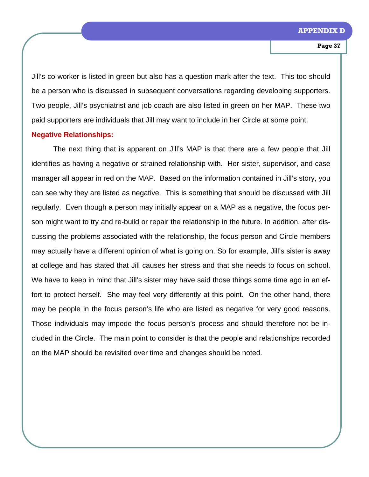Jill's co-worker is listed in green but also has a question mark after the text. This too should be a person who is discussed in subsequent conversations regarding developing supporters. Two people, Jill's psychiatrist and job coach are also listed in green on her MAP. These two paid supporters are individuals that Jill may want to include in her Circle at some point.

## **Negative Relationships:**

 The next thing that is apparent on Jill's MAP is that there are a few people that Jill identifies as having a negative or strained relationship with. Her sister, supervisor, and case manager all appear in red on the MAP. Based on the information contained in Jill's story, you can see why they are listed as negative. This is something that should be discussed with Jill regularly. Even though a person may initially appear on a MAP as a negative, the focus person might want to try and re-build or repair the relationship in the future. In addition, after discussing the problems associated with the relationship, the focus person and Circle members may actually have a different opinion of what is going on. So for example, Jill's sister is away at college and has stated that Jill causes her stress and that she needs to focus on school. We have to keep in mind that Jill's sister may have said those things some time ago in an effort to protect herself. She may feel very differently at this point. On the other hand, there may be people in the focus person's life who are listed as negative for very good reasons. Those individuals may impede the focus person's process and should therefore not be included in the Circle. The main point to consider is that the people and relationships recorded on the MAP should be revisited over time and changes should be noted.